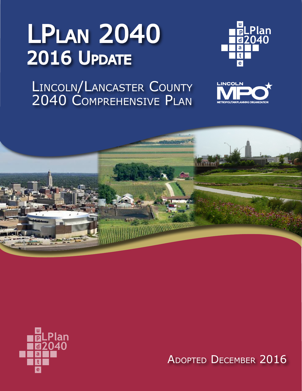## LPlan 2040 **2016 UPDATE**

Lincoln/Lancaster County 2040 Comprehensive Plan









Adopted December 2016